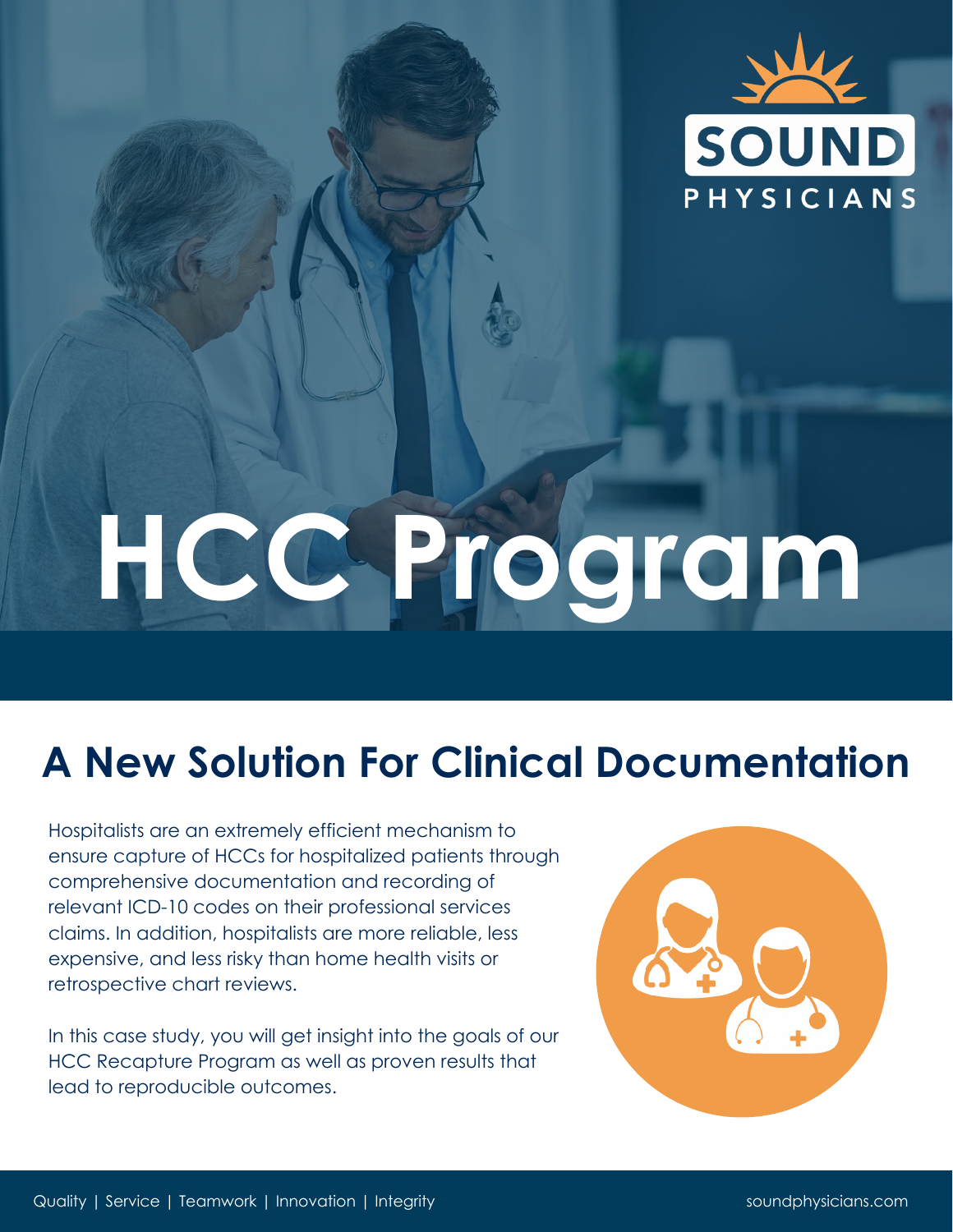

# **HCC Program**

## **A New Solution For Clinical Documentation**

Hospitalists are an extremely efficient mechanism to ensure capture of HCCs for hospitalized patients through comprehensive documentation and recording of relevant ICD-10 codes on their professional services claims. In addition, hospitalists are more reliable, less expensive, and less risky than home health visits or retrospective chart reviews.

In this case study, you will get insight into the goals of our HCC Recapture Program as well as proven results that lead to reproducible outcomes.